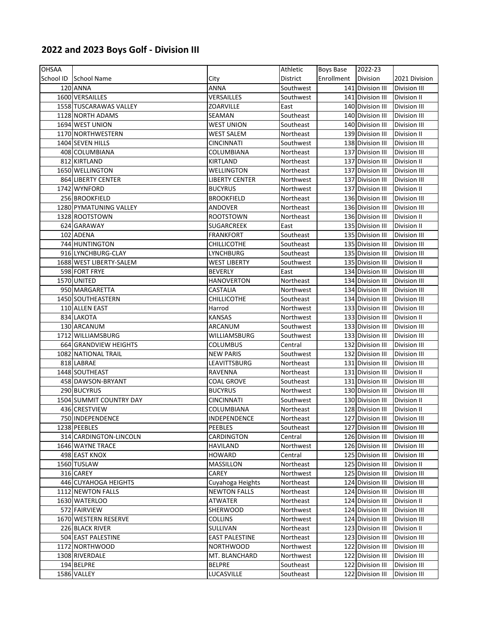## **2022 and 2023 Boys Golf ‐ Division III**

| <b>OHSAA</b> |                         |                       | Athletic  | Boys Base  | 2022-23                       |                     |
|--------------|-------------------------|-----------------------|-----------|------------|-------------------------------|---------------------|
|              | School ID School Name   | City                  | District  | Enrollment | Division                      | 2021 Division       |
|              | 120 ANNA                | ANNA                  | Southwest |            | 141 Division III              | <b>Division III</b> |
|              | 1600 VERSAILLES         | VERSAILLES            | Southwest |            | 141 Division III              | Division II         |
|              | 1558 TUSCARAWAS VALLEY  | ZOARVILLE             | East      |            | 140 Division III              | <b>Division III</b> |
|              | 1128 NORTH ADAMS        | SEAMAN                | Southeast |            | 140 Division III              | Division III        |
|              | 1694 WEST UNION         | WEST UNION            | Southeast |            | 140 Division III              | Division III        |
|              | 1170 NORTHWESTERN       | WEST SALEM            | Northeast |            | 139 Division III              | Division II         |
|              | 1404 SEVEN HILLS        | CINCINNATI            | Southwest |            | 138 Division III              | Division III        |
|              | 408 COLUMBIANA          | COLUMBIANA            | Northeast |            | 137 Division III              | Division III        |
|              | 812 KIRTLAND            | <b>KIRTLAND</b>       | Northeast |            | 137 Division III              | Division II         |
|              | 1650 WELLINGTON         | WELLINGTON            | Northeast |            | 137 Division III              | <b>Division III</b> |
|              | 864 LIBERTY CENTER      | <b>LIBERTY CENTER</b> | Northwest |            | 137 Division III              | <b>Division III</b> |
|              | 1742 WYNFORD            | <b>BUCYRUS</b>        | Northwest |            | 137 Division III              | Division II         |
|              | 256 BROOKFIELD          | BROOKFIELD            | Northeast |            | 136 Division III              | <b>Division III</b> |
|              | 1280 PYMATUNING VALLEY  | ANDOVER               | Northeast |            | 136 Division III              | Division III        |
|              | 1328 ROOTSTOWN          | ROOTSTOWN             | Northeast |            | 136 Division III              | Division II         |
|              | 624 GARAWAY             | SUGARCREEK            | East      |            | 135 Division III              | Division II         |
|              | 102 ADENA               | <b>FRANKFORT</b>      | Southeast |            | 135 Division III              | <b>Division III</b> |
|              | 744 HUNTINGTON          | <b>CHILLICOTHE</b>    | Southeast |            | 135 Division III              | <b>Division III</b> |
|              | 916 LYNCHBURG-CLAY      | LYNCHBURG             | Southeast |            | 135 Division III              | <b>Division III</b> |
|              | 1688 WEST LIBERTY-SALEM | WEST LIBERTY          | Southwest |            | 135 Division III              | Division II         |
|              | 598 FORT FRYE           | <b>BEVERLY</b>        | East      |            | 134 Division III              | Division III        |
|              | 1570 UNITED             | HANOVERTON            | Northeast |            | 134 Division III              | Division III        |
|              | 950 MARGARETTA          | <b>CASTALIA</b>       | Northwest |            | 134 Division III              | <b>Division III</b> |
|              | 1450 SOUTHEASTERN       | CHILLICOTHE           | Southeast |            | 134 Division III              | <b>Division III</b> |
|              | 110 ALLEN EAST          | Harrod                | Northwest |            | 133 Division III              | <b>Division III</b> |
|              | 834 LAKOTA              | <b>KANSAS</b>         | Northwest |            | 133 Division III              | Division II         |
|              | 130 ARCANUM             | ARCANUM               | Southwest |            | 133 Division III              | <b>Division III</b> |
|              | 1712 WILLIAMSBURG       | WILLIAMSBURG          | Southwest |            | 133 Division III              | <b>Division III</b> |
|              | 664 GRANDVIEW HEIGHTS   | COLUMBUS              | Central   |            | 132 Division III              | <b>Division III</b> |
|              | 1082 NATIONAL TRAIL     | NEW PARIS             | Southwest |            | 132 Division III              | <b>Division III</b> |
|              | 818 LABRAE              | LEAVITTSBURG          | Northeast |            | 131 Division III              | <b>Division III</b> |
|              | 1448 SOUTHEAST          | RAVENNA               | Northeast |            | 131 Division III              | <b>Division II</b>  |
|              | 458 DAWSON-BRYANT       | <b>COAL GROVE</b>     | Southeast |            | 131 Division III              | <b>Division III</b> |
|              | 290 BUCYRUS             | <b>BUCYRUS</b>        | Northwest |            | 130 Division III              | <b>Division III</b> |
|              | 1504 SUMMIT COUNTRY DAY | <b>CINCINNATI</b>     | Southwest |            | 130 Division III              | Division II         |
|              | 436 CRESTVIEW           | COLUMBIANA            | Northeast |            | 128 Division III              | <b>Division II</b>  |
|              | 750 INDEPENDENCE        | <b>INDEPENDENCE</b>   | Northeast |            | 127 Division III Division III |                     |
|              | 1238 PEEBLES            | PEEBLES               | Southeast |            | 127 Division III              | Division III        |
|              | 314 CARDINGTON-LINCOLN  | CARDINGTON            | Central   |            | 126 Division III              | <b>Division III</b> |
|              | 1646 WAYNE TRACE        | <b>HAVILAND</b>       | Northwest |            | 126 Division III              | Division III        |
|              | 498 EAST KNOX           | <b>HOWARD</b>         | Central   |            | 125 Division III              | <b>Division III</b> |
|              | 1560 TUSLAW             | MASSILLON             | Northeast |            | 125 Division III              | Division II         |
|              | 316 CAREY               | CAREY                 | Northwest |            | 125 Division III              | <b>Division III</b> |
|              | 446 CUYAHOGA HEIGHTS    | Cuyahoga Heights      | Northeast |            | 124 Division III              | <b>Division III</b> |
|              | 1112 NEWTON FALLS       | <b>NEWTON FALLS</b>   | Northeast |            | 124 Division III              | <b>Division III</b> |
|              | 1630 WATERLOO           | <b>ATWATER</b>        | Northeast |            | 124 Division III              | Division II         |
|              | 572 FAIRVIEW            | <b>SHERWOOD</b>       | Northwest |            | 124 Division III              | <b>Division III</b> |
|              | 1670 WESTERN RESERVE    | COLLINS               | Northwest |            | 124 Division III              | <b>Division III</b> |
|              | 226 BLACK RIVER         | SULLIVAN              | Northeast |            | 123 Division III              | Division II         |
|              | 504 EAST PALESTINE      | <b>EAST PALESTINE</b> | Northeast |            | 123 Division III              | <b>Division III</b> |
|              | 1172 NORTHWOOD          | <b>NORTHWOOD</b>      | Northwest |            | 122 Division III              | <b>Division III</b> |
|              | 1308 RIVERDALE          | MT. BLANCHARD         | Northwest |            | 122 Division III              | <b>Division III</b> |
|              | 194 BELPRE              | <b>BELPRE</b>         | Southeast |            | 122 Division III              | <b>Division III</b> |
|              | 1586 VALLEY             | LUCASVILLE            | Southeast |            | 122 Division III              | Division III        |
|              |                         |                       |           |            |                               |                     |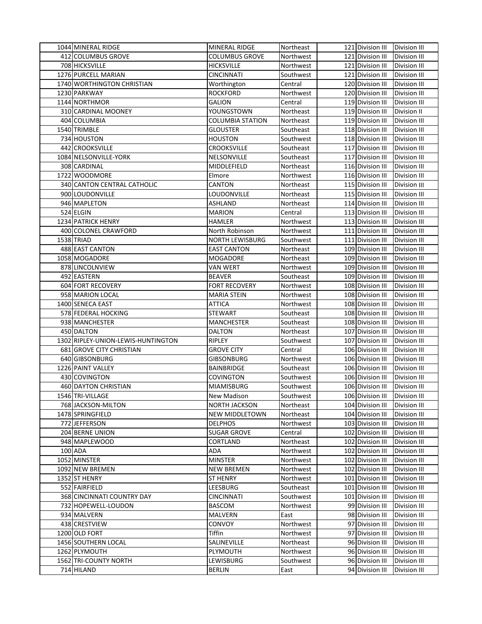| 1044 MINERAL RIDGE                 | MINERAL RIDGE           | Northeast | 121 Division III              | Division III        |
|------------------------------------|-------------------------|-----------|-------------------------------|---------------------|
| 412 COLUMBUS GROVE                 | <b>COLUMBUS GROVE</b>   | Northwest | 121 Division III              | <b>Division III</b> |
| 708 HICKSVILLE                     | <b>HICKSVILLE</b>       | Northwest | 121 Division III              | Division III        |
| 1276 PURCELL MARIAN                | CINCINNATI              | Southwest | 121 Division III              | Division III        |
| 1740 WORTHINGTON CHRISTIAN         | Worthington             | Central   | 120 Division III              | Division III        |
| 1230 PARKWAY                       | <b>ROCKFORD</b>         | Northwest | 120 Division III              | Division III        |
| 1144 NORTHMOR                      | <b>GALION</b>           | Central   | 119 Division III              | Division III        |
| 310 CARDINAL MOONEY                | YOUNGSTOWN              | Northeast | 119 Division III              | Division II         |
| 404 COLUMBIA                       | <b>COLUMBIA STATION</b> | Northeast | 119 Division III              | Division III        |
| 1540 TRIMBLE                       | <b>GLOUSTER</b>         | Southeast | 118 Division III              | Division III        |
| 734 HOUSTON                        | <b>HOUSTON</b>          | Southwest | 118 Division III              | Division III        |
| 442 CROOKSVILLE                    | <b>CROOKSVILLE</b>      |           | 117 Division III              | Division III        |
| 1084 NELSONVILLE-YORK              | <b>NELSONVILLE</b>      | Southeast | 117 Division III              | Division III        |
|                                    |                         | Southeast |                               |                     |
| 308 CARDINAL                       | MIDDLEFIELD             | Northeast | 116 Division III              | Division III        |
| 1722 WOODMORE                      | Elmore                  | Northwest | 116 Division III              | Division III        |
| 340 CANTON CENTRAL CATHOLIC        | CANTON                  | Northeast | 115 Division III              | Division III        |
| 900 LOUDONVILLE                    | LOUDONVILLE             | Northeast | 115 Division III              | <b>Division III</b> |
| 946 MAPLETON                       | ASHLAND                 | Northeast | 114 Division III              | Division III        |
| 524 ELGIN                          | <b>MARION</b>           | Central   | 113 Division III              | Division III        |
| 1234 PATRICK HENRY                 | HAMLER                  | Northwest | 113 Division III              | Division III        |
| 400 COLONEL CRAWFORD               | North Robinson          | Northwest | 111 Division III              | <b>Division III</b> |
| 1538 TRIAD                         | <b>NORTH LEWISBURG</b>  | Southwest | 111 Division III              | Division III        |
| 488 EAST CANTON                    | <b>EAST CANTON</b>      | Northeast | 109 Division III              | Division III        |
| 1058 MOGADORE                      | MOGADORE                | Northeast | 109 Division III              | Division III        |
| 878 LINCOLNVIEW                    | <b>VAN WERT</b>         | Northwest | 109 Division III              | <b>Division III</b> |
| 492 EASTERN                        | <b>BEAVER</b>           | Southeast | 109 Division III              | Division III        |
| 604 FORT RECOVERY                  | <b>FORT RECOVERY</b>    | Northwest | 108 Division III              | Division III        |
| 958 MARION LOCAL                   | <b>MARIA STEIN</b>      | Northwest | 108 Division III              | Division III        |
| 1400 SENECA EAST                   | <b>ATTICA</b>           | Northwest | 108 Division III              | <b>Division III</b> |
| 578 FEDERAL HOCKING                | STEWART                 | Southeast | 108 Division III              | Division III        |
| 938 MANCHESTER                     | MANCHESTER              | Southeast | 108 Division III              | Division III        |
| 450 DALTON                         | DALTON                  | Northeast | 107 Division III              | Division III        |
| 1302 RIPLEY-UNION-LEWIS-HUNTINGTON | RIPLEY                  | Southwest | 107 Division III              | <b>Division III</b> |
| <b>681 GROVE CITY CHRISTIAN</b>    | <b>GROVE CITY</b>       | Central   | 106 Division III              | <b>Division III</b> |
| 640 GIBSONBURG                     | <b>GIBSONBURG</b>       | Northwest | 106 Division III              | <b>Division III</b> |
| 1226 PAINT VALLEY                  | <b>BAINBRIDGE</b>       | Southeast | 106 Division III              | <b>Division III</b> |
| 430 COVINGTON                      | COVINGTON               | Southwest | 106 Division III              | Division III        |
| 460 DAYTON CHRISTIAN               | <b>MIAMISBURG</b>       | Southwest | 106 Division III              | Division III        |
| 1546 TRI-VILLAGE                   | New Madison             | Southwest | 106 Division III Division III |                     |
| 768 JACKSON-MILTON                 | <b>NORTH JACKSON</b>    | Northeast | 104 Division III              | Division III        |
| 1478 SPRINGFIELD                   | <b>NEW MIDDLETOWN</b>   | Northeast | 104 Division III              | Division III        |
| 772 JEFFERSON                      | <b>DELPHOS</b>          | Northwest | 103 Division III              | Division III        |
| 204 BERNE UNION                    | <b>SUGAR GROVE</b>      | Central   | 102 Division III              | Division III        |
| 948 MAPLEWOOD                      | CORTLAND                | Northeast | 102 Division III              | Division III        |
| 100 ADA                            | ADA                     | Northwest | 102 Division III              | Division III        |
| 1052 MINSTER                       | <b>MINSTER</b>          | Northwest | 102 Division III              | Division III        |
| 1092 NEW BREMEN                    | <b>NEW BREMEN</b>       | Northwest | 102 Division III              | Division III        |
| 1352 ST HENRY                      | ST HENRY                | Northwest | 101 Division III              | Division III        |
| 552 FAIRFIELD                      | LEESBURG                | Southeast | 101 Division III              | Division III        |
| 368 CINCINNATI COUNTRY DAY         | <b>CINCINNATI</b>       | Southwest | 101 Division III              | Division III        |
| 732 HOPEWELL-LOUDON                | <b>BASCOM</b>           | Northwest | 99 Division III               | <b>Division III</b> |
| 934 MALVERN                        | MALVERN                 | East      | 98 Division III               | <b>Division III</b> |
| 438 CRESTVIEW                      | CONVOY                  | Northwest | 97 Division III               | <b>Division III</b> |
| 1200 OLD FORT                      | Tiffin                  | Northwest | 97 Division III               | <b>Division III</b> |
| 1456 SOUTHERN LOCAL                | SALINEVILLE             | Northeast | 96 Division III               | <b>Division III</b> |
| 1262 PLYMOUTH                      | PLYMOUTH                | Northwest | 96 Division III               | Division III        |
| 1562 TRI-COUNTY NORTH              | LEWISBURG               | Southwest | 96 Division III               | Division III        |
| 714 HILAND                         | <b>BERLIN</b>           | East      | 94 Division III               | <b>Division III</b> |
|                                    |                         |           |                               |                     |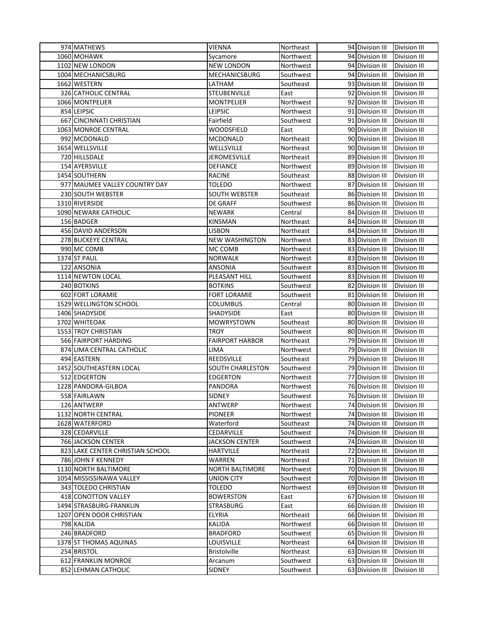| 974 MATHEWS                      | <b>VIENNA</b>          | Northeast | 94 Division III              | Division III        |
|----------------------------------|------------------------|-----------|------------------------------|---------------------|
| 1060 MOHAWK                      | Sycamore               | Northwest | 94 Division III              | Division III        |
| 1102 NEW LONDON                  | <b>NEW LONDON</b>      | Northwest | 94 Division III              | Division III        |
| 1004 MECHANICSBURG               | MECHANICSBURG          | Southwest | 94 Division III              | Division III        |
| 1662 WESTERN                     | LATHAM                 | Southeast | 93 Division III              | <b>Division III</b> |
| 326 CATHOLIC CENTRAL             | <b>STEUBENVILLE</b>    | East      | 92 Division III              | Division III        |
| 1066 MONTPELIER                  | MONTPELIER             | Northwest | 92 Division III              | Division III        |
| 854 LEIPSIC                      | <b>LEIPSIC</b>         | Northwest | 91 Division III              | Division III        |
| 667 CINCINNATI CHRISTIAN         | Fairfield              | Southwest | 91 Division III              | <b>Division III</b> |
| 1063 MONROE CENTRAL              | WOODSFIELD             | East      | 90 Division III              | Division III        |
| 992 MCDONALD                     | MCDONALD               | Northeast | 90 Division III              | Division III        |
| 1654 WELLSVILLE                  | WELLSVILLE             | Northeast | 90 Division III              | <b>Division III</b> |
| 720 HILLSDALE                    | JEROMESVILLE           | Northeast | 89 Division III              | <b>Division III</b> |
| 154 AYERSVILLE                   | <b>DEFIANCE</b>        | Northwest | 89 Division III              | Division III        |
| 1454 SOUTHERN                    | RACINE                 | Southeast | 88 Division III              | Division III        |
| 977 MAUMEE VALLEY COUNTRY DAY    | TOLEDO                 | Northwest | 87 Division III              | Division III        |
| 230 SOUTH WEBSTER                | SOUTH WEBSTER          | Southeast | 86 Division III              | Division III        |
| 1310 RIVERSIDE                   | <b>DE GRAFF</b>        | Southwest | 86 Division III              | <b>Division III</b> |
| 1090 NEWARK CATHOLIC             | NEWARK                 | Central   | 84 Division III              | <b>Division III</b> |
| 156 BADGER                       | <b>KINSMAN</b>         | Northeast | 84 Division III              | Division III        |
| 456 DAVID ANDERSON               | <b>LISBON</b>          | Northeast | 84 Division III              | Division III        |
| <b>278 BUCKEYE CENTRAL</b>       | <b>NEW WASHINGTON</b>  | Northwest | 83 Division III              | <b>Division III</b> |
| 990 MC COMB                      | MC COMB                | Northwest | 83 Division III              | Division III        |
| 1374 ST PAUL                     | NORWALK                | Northwest | 83 Division III              | Division III        |
| 122 ANSONIA                      | <b>ANSONIA</b>         | Southwest | 83 Division III              | Division III        |
| 1114 NEWTON LOCAL                | PLEASANT HILL          | Southwest | 83 Division III              | <b>Division III</b> |
| 240 BOTKINS                      | <b>BOTKINS</b>         | Southwest | 82 Division III              | Division III        |
| 602 FORT LORAMIE                 | <b>FORT LORAMIE</b>    | Southwest | 81 Division III              | Division III        |
| 1529 WELLINGTON SCHOOL           | <b>COLUMBUS</b>        | Central   | 80 Division III              | <b>Division III</b> |
| 1406 SHADYSIDE                   | SHADYSIDE              | East      | 80 Division III              | <b>Division III</b> |
| 1702 WHITEOAK                    | <b>MOWRYSTOWN</b>      | Southeast | 80 Division III              | Division III        |
| 1553 TROY CHRISTIAN              | TROY                   | Southwest | 80 Division III              | Division III        |
| 566 FAIRPORT HARDING             | FAIRPORT HARBOR        | Northeast | 79 Division III              | Division III        |
| 874 LIMA CENTRAL CATHOLIC        | LIMA                   | Northwest | 79 Division III              | <b>Division III</b> |
| 494 EASTERN                      | REEDSVILLE             | Southeast | 79 Division III              | <b>Division III</b> |
| 1452 SOUTHEASTERN LOCAL          | SOUTH CHARLESTON       | Southwest | 79 Division III              | <b>Division III</b> |
| 512 EDGERTON                     | EDGERTON               | Northwest | 77 Division III              | <b>Division III</b> |
| 1228 PANDORA-GILBOA              | PANDORA                | Northwest | 76 Division III              | <b>Division III</b> |
| 558 FAIRLAWN                     | SIDNEY                 | Southwest | 76 Division III Division III |                     |
| 126 ANTWERP                      | ANTWERP                | Northwest | 74 Division III              | Division III        |
| 1132 NORTH CENTRAL               | <b>PIONEER</b>         | Northwest | 74 Division III              | Division III        |
| 1628 WATERFORD                   | Waterford              | Southeast | 74 Division III              | Division III        |
| 328 CEDARVILLE                   | CEDARVILLE             | Southwest | 74 Division III              | <b>Division III</b> |
| 766 JACKSON CENTER               | <b>JACKSON CENTER</b>  | Southwest | 74 Division III              | Division III        |
| 823 LAKE CENTER CHRISTIAN SCHOOL | <b>HARTVILLE</b>       | Northeast | 72 Division III              | Division III        |
| 786 JOHN F KENNEDY               | WARREN                 | Northeast | 71 Division III              | Division III        |
| 1130 NORTH BALTIMORE             | <b>NORTH BALTIMORE</b> | Northwest | 70 Division III              | Division III        |
| 1054 MISSISSINAWA VALLEY         | UNION CITY             | Southwest | 70 Division III              | Division III        |
| 343 TOLEDO CHRISTIAN             | TOLEDO                 | Northwest | 69 Division III              | Division III        |
| 418 CONOTTON VALLEY              | <b>BOWERSTON</b>       | East      | 67 Division III              | Division III        |
| 1494 STRASBURG-FRANKLIN          | STRASBURG              | East      | 66 Division III              | Division III        |
| 1207 OPEN DOOR CHRISTIAN         | <b>ELYRIA</b>          | Northeast | 66 Division III              | <b>Division III</b> |
| 798 KALIDA                       | KALIDA                 | Northwest | 66 Division III              | <b>Division III</b> |
| 246 BRADFORD                     | <b>BRADFORD</b>        | Southwest | 65 Division III              | <b>Division III</b> |
| 1378 ST THOMAS AQUINAS           | LOUISVILLE             | Northeast | 64 Division III              | <b>Division III</b> |
| 254 BRISTOL                      | <b>Bristolville</b>    | Northeast | 63 Division III              | Division III        |
| 612 FRANKLIN MONROE              | Arcanum                | Southwest | 63 Division III              | Division III        |
| 852 LEHMAN CATHOLIC              | SIDNEY                 | Southwest | 63 Division III              | Division III        |